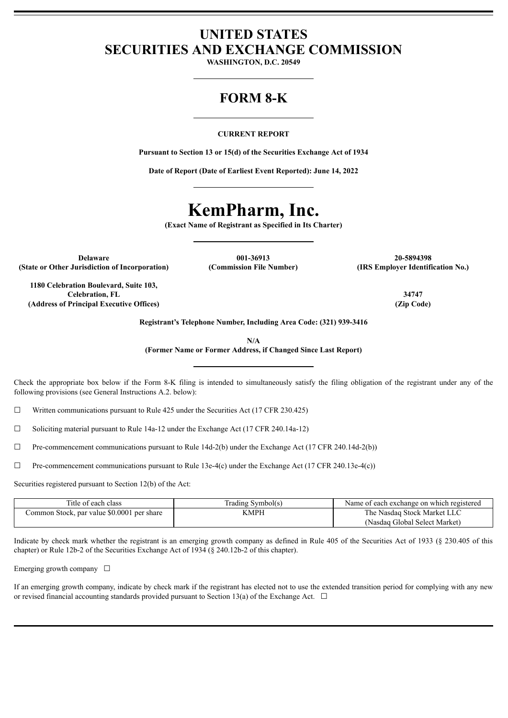## **UNITED STATES SECURITIES AND EXCHANGE COMMISSION**

**WASHINGTON, D.C. 20549**

## **FORM 8-K**

#### **CURRENT REPORT**

**Pursuant to Section 13 or 15(d) of the Securities Exchange Act of 1934**

**Date of Report (Date of Earliest Event Reported): June 14, 2022**

# **KemPharm, Inc.**

**(Exact Name of Registrant as Specified in Its Charter)**

**(State or Other Jurisdiction of Incorporation) (Commission File Number) (IRS Employer Identification No.)**

**Delaware 001-36913 20-5894398**

**1180 Celebration Boulevard, Suite 103, Celebration, FL 34747 (Address of Principal Executive Offices) (Zip Code)**

**Registrant's Telephone Number, Including Area Code: (321) 939-3416**

**N/A**

**(Former Name or Former Address, if Changed Since Last Report)**

Check the appropriate box below if the Form 8-K filing is intended to simultaneously satisfy the filing obligation of the registrant under any of the following provisions (see General Instructions A.2. below):

 $\Box$  Written communications pursuant to Rule 425 under the Securities Act (17 CFR 230.425)

 $\Box$  Soliciting material pursuant to Rule 14a-12 under the Exchange Act (17 CFR 240.14a-12)

 $\Box$  Pre-commencement communications pursuant to Rule 14d-2(b) under the Exchange Act (17 CFR 240.14d-2(b))

☐ Pre-commencement communications pursuant to Rule 13e-4(c) under the Exchange Act (17 CFR 240.13e-4(c))

Securities registered pursuant to Section 12(b) of the Act:

| Title of each class                        | [rading Symbol(s) | Name of each exchange on which registered |
|--------------------------------------------|-------------------|-------------------------------------------|
| Common Stock, par value \$0.0001 per share | KMPH              | The Nasdaq Stock Market LLC               |
|                                            |                   | (Nasdaq Global Select Market)             |

Indicate by check mark whether the registrant is an emerging growth company as defined in Rule 405 of the Securities Act of 1933 (§ 230.405 of this chapter) or Rule 12b-2 of the Securities Exchange Act of 1934 (§ 240.12b-2 of this chapter).

Emerging growth company  $\Box$ 

If an emerging growth company, indicate by check mark if the registrant has elected not to use the extended transition period for complying with any new or revised financial accounting standards provided pursuant to Section 13(a) of the Exchange Act.  $\Box$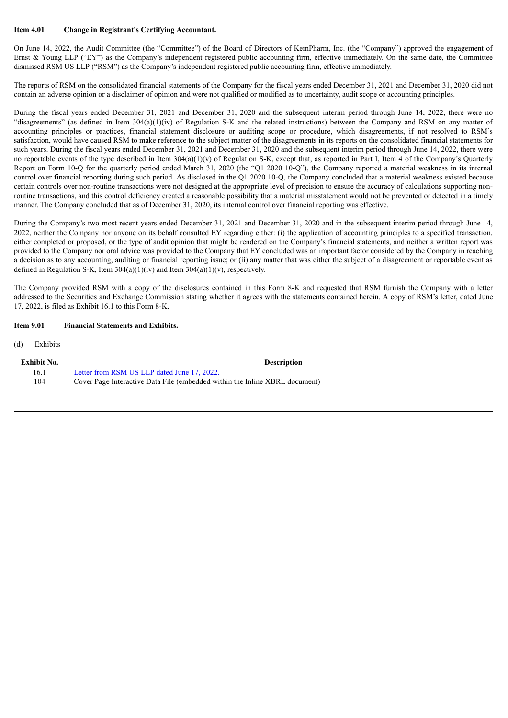#### **Item 4.01 Change in Registrant's Certifying Accountant.**

On June 14, 2022, the Audit Committee (the "Committee") of the Board of Directors of KemPharm, Inc. (the "Company") approved the engagement of Ernst & Young LLP ("EY") as the Company's independent registered public accounting firm, effective immediately. On the same date, the Committee dismissed RSM US LLP ("RSM") as the Company's independent registered public accounting firm, effective immediately.

The reports of RSM on the consolidated financial statements of the Company for the fiscal years ended December 31, 2021 and December 31, 2020 did not contain an adverse opinion or a disclaimer of opinion and were not qualified or modified as to uncertainty, audit scope or accounting principles.

During the fiscal years ended December 31, 2021 and December 31, 2020 and the subsequent interim period through June 14, 2022, there were no "disagreements" (as defined in Item  $304(a)(1)(iv)$  of Regulation S-K and the related instructions) between the Company and RSM on any matter of accounting principles or practices, financial statement disclosure or auditing scope or procedure, which disagreements, if not resolved to RSM's satisfaction, would have caused RSM to make reference to the subject matter of the disagreements in its reports on the consolidated financial statements for such years. During the fiscal years ended December 31, 2021 and December 31, 2020 and the subsequent interim period through June 14, 2022, there were no reportable events of the type described in Item 304(a)(1)(v) of Regulation S-K, except that, as reported in Part I, Item 4 of the Company's Quarterly Report on Form 10-Q for the quarterly period ended March 31, 2020 (the "Q1 2020 10-Q"), the Company reported a material weakness in its internal control over financial reporting during such period. As disclosed in the Q1 2020 10-Q, the Company concluded that a material weakness existed because certain controls over non-routine transactions were not designed at the appropriate level of precision to ensure the accuracy of calculations supporting nonroutine transactions, and this control deficiency created a reasonable possibility that a material misstatement would not be prevented or detected in a timely manner. The Company concluded that as of December 31, 2020, its internal control over financial reporting was effective.

During the Company's two most recent years ended December 31, 2021 and December 31, 2020 and in the subsequent interim period through June 14, 2022, neither the Company nor anyone on its behalf consulted EY regarding either: (i) the application of accounting principles to a specified transaction, either completed or proposed, or the type of audit opinion that might be rendered on the Company's financial statements, and neither a written report was provided to the Company nor oral advice was provided to the Company that EY concluded was an important factor considered by the Company in reaching a decision as to any accounting, auditing or financial reporting issue; or (ii) any matter that was either the subject of a disagreement or reportable event as defined in Regulation S-K, Item  $304(a)(1)(iv)$  and Item  $304(a)(1)(v)$ , respectively.

The Company provided RSM with a copy of the disclosures contained in this Form 8-K and requested that RSM furnish the Company with a letter addressed to the Securities and Exchange Commission stating whether it agrees with the statements contained herein. A copy of RSM's letter, dated June 17, 2022, is filed as Exhibit 16.1 to this Form 8-K.

#### **Item 9.01 Financial Statements and Exhibits.**

#### (d) Exhibits

| <b>Exhibit No.</b> | <b>Description</b>                                                          |
|--------------------|-----------------------------------------------------------------------------|
| 16.1               | Letter from RSM US LLP dated June 17, 2022.                                 |
| 104                | Cover Page Interactive Data File (embedded within the Inline XBRL document) |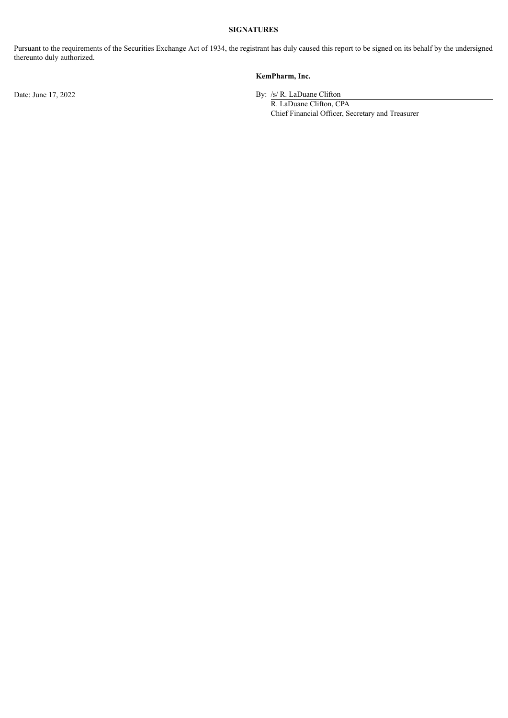### **SIGNATURES**

Pursuant to the requirements of the Securities Exchange Act of 1934, the registrant has duly caused this report to be signed on its behalf by the undersigned thereunto duly authorized.

#### **KemPharm, Inc.**

Date: June 17, 2022 By: /s/ R. LaDuane Clifton

R. LaDuane Clifton, CPA Chief Financial Officer, Secretary and Treasurer